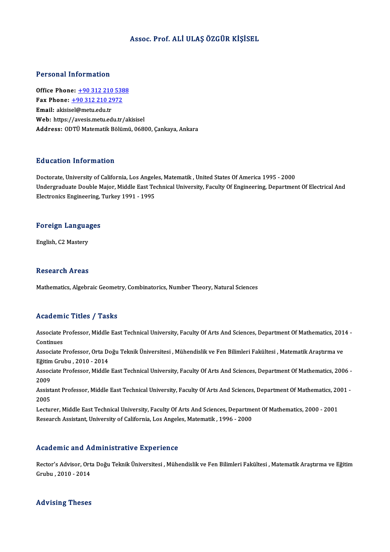## Assoc. Prof. ALİULAŞÖZGÜR KİŞİSEL

### Personal Information

**Personal Information<br>Office Phone: +90 312 210 5388**<br>Fax Phone: +90 312 210 2972 Fax Phone: <u>+90 312 210 538</u><br>Fax Phone: <u>+90 312 210 538</u><br>Fax Phone: <u>+90 312 210 2972</u> Office Phone: <u>+90 312 210</u><br>Fax Phone: <u>+90 312 210 29</u><br>Email: akisis[el@metu.edu.tr](tel:+90 312 210 2972) Fax Phone:  $\pm$ 90 312 210 2972<br>Email: akisisel@metu.edu.tr<br>Web: https://avesis.metu.edu.tr/akisisel Address: ODTÜ Matematik Bölümü, 06800, Çankaya, Ankara

### Education Information

Education Information<br>Doctorate, University of California, Los Angeles, Matematik , United States Of America 1995 - 2000<br>Undergraduate Double Major, Middle Fast Technical University, Faculty Of Engineering, Denartmen Undergraduate Double Major, Middle East Technical University, Faculty Of Engineering, Department Of Electrical And<br>Electronics Engineering, Turkey 1991 - 1995 Doctorate, University of California, Los Angele<br>Undergraduate Double Major, Middle East Te<br>Electronics Engineering, Turkey 1991 - 1995

# весстопсs видшеегинg,<br>Foreign Languages F<mark>oreign Langua</mark><br>English, C2 Mastery

English, C2 Mastery<br>Research Areas

Mathematics, Algebraic Geometry, Combinatorics, Number Theory, Natural Sciences

## Academic Titles / Tasks

**Academic Titles / Tasks**<br>Associate Professor, Middle East Technical University, Faculty Of Arts And Sciences, Department Of Mathematics, 2014 -<br>Continues Associate I<br>Continues<br>Associate I Associate Professor, Middle East Technical University, Faculty Of Arts And Sciences, Department Of Mathematics, 201<br>Continues<br>Associate Professor, Orta Doğu Teknik Üniversitesi , Mühendislik ve Fen Bilimleri Fakültesi , Ma

Continues<br>Associate Professor, Orta De<br>Eğitim Grubu , 2010 - 2014<br>Associate Professor, Middle

Associate Professor, Orta Doğu Teknik Üniversitesi , Mühendislik ve Fen Bilimleri Fakültesi , Matematik Araştırma ve<br>Eğitim Grubu , 2010 - 2014<br>Associate Professor, Middle East Technical University, Faculty Of Arts And Sci Eğitim<br>Assoc:<br>2009 Associate Professor, Middle East Technical University, Faculty Of Arts And Sciences, Department Of Mathematics, 2006 -<br>2009<br>Assistant Professor, Middle East Technical University, Faculty Of Arts And Sciences, Department Of

2009<br>Assist<br>2005<br>Lectur Assistant Professor, Middle East Technical University, Faculty Of Arts And Sciences, Department Of Mathematics, 20<br>2005<br>Lecturer, Middle East Technical University, Faculty Of Arts And Sciences, Department Of Mathematics, 2

2005<br>Lecturer, Middle East Technical University, Faculty Of Arts And Sciences, Department Of Mathematics, 2000 - 2001<br>Research Assistant, University of California, Los Angeles, Matematik , 1996 - 2000

### Academic and Administrative Experience

Academic and Administrative Experience<br>Rector's Advisor, Orta Doğu Teknik Üniversitesi , Mühendislik ve Fen Bilimleri Fakültesi , Matematik Araştırma ve Eğitim<br>Smrbu, 2010, 2014 Rector's Advisor, Ort.<br>Grubu , 2010 - 2014

# Grubu , 2010 - 2014<br>Advising Theses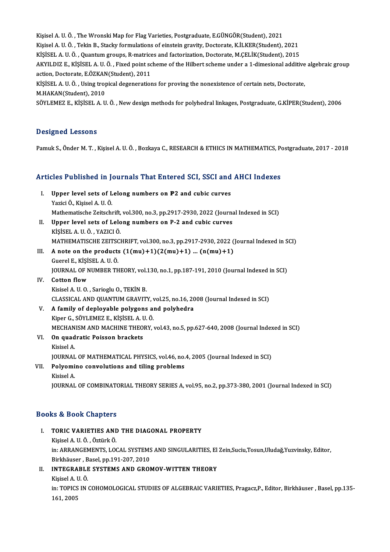Kişisel A. U. Ö., The Wronski Map for Flag Varieties, Postgraduate, E.GÜNGÖR(Student), 2021 Kişisel A. U. Ö. , The Wronski Map for Flag Varieties, Postgraduate, E.GÜNGÖR(Student), 2021<br>Kişisel A. U. Ö. , Tekin B., Stacky formulations of einstein gravity, Doctorate, K.İLKER(Student), 2021<br>Kişisel A. U. Ö. , Quantu Kişisel A. U. Ö. , The Wronski Map for Flag Varieties, Postgraduate, E.GÜNGÖR(Student), 2021<br>Kişisel A. U. Ö. , Tekin B., Stacky formulations of einstein gravity, Doctorate, K.İLKER(Student), 2021<br>KİŞİSEL A. U. Ö. , Quantu Kişisel A. U. Ö. , Tekin B., Stacky formulations of einstein gravity, Doctorate, K.İLKER(Student), 2021<br>KİŞİSEL A. U. Ö. , Quantum groups, R-matrices and factorization, Doctorate, M.ÇELİK(Student), 2015<br>AKYILDIZ E., KİŞİSE KİŞİSEL A. U. Ö. , Quantum groups, R-matrice<br>AKYILDIZ E., KİŞİSEL A. U. Ö. , Fixed point sc<br>action, Doctorate, E.ÖZKAN(Student), 2011<br>KİSİSEL A. U. Ö., Heing tropical deseneration AKYILDIZ E., KİŞİSEL A. U.Ö. , Fixed point scheme of the Hilbert scheme under a 1-dimesional additive<br>action, Doctorate, E.ÖZKAN(Student), 2011<br>KİŞİSEL A. U. Ö. , Using tropical degenerations for proving the nonexistence o action, Doctorate, E.ÖZKAN(Student), 2011<br>KİŞİSEL A. U. Ö. , Using tropical degenerations for proving the nonexistence of certain nets, Doctorate,<br>M.HAKAN(Student), 2010

SÖYLEMEZ E., KİŞİSEL A. U. Ö., New design methods for polyhedral linkages, Postgraduate, G.KİPER(Student), 2006

#### Designed Lessons

Pamuk S., Önder M. T., Kişisel A. U. Ö., Bozkaya C., RESEARCH & ETHICS IN MATHEMATICS, Postgraduate, 2017 - 2018

# Pamuk S., Onder M. 1. , Kişisel A. O. O. , Bozkaya C., RESEARCH & ETHICS IN MATHEMATICS, Pe<br>Articles Published in Journals That Entered SCI, SSCI and AHCI Indexes

- rticles Published in Journals That Entered SCI, SSCI and<br>I. Upper level sets of Lelong numbers on P2 and cubic curves<br>Variei Ö. Kisisal A.U.Ö. I. Upper level sets of Lelong numbers on P2 and cubic curves<br>Yazici Ö., Kişisel A. U. Ö. Upper level sets of Lelong numbers on P2 and cubic curves<br>Yazici Ö., Kişisel A. U. Ö.<br>Mathematische Zeitschrift, vol.300, no.3, pp.2917-2930, 2022 (Journal Indexed in SCI)<br>Unner level sets of Lelong numbers on B 2 and subi Yazici Ö., Kişisel A. U. Ö.<br>Mathematische Zeitschrift, vol.300, no.3, pp.2917-2930, 2022 (Journa<br>II. Upper level sets of Lelong numbers on P-2 and cubic curves<br>visisel A. U. Ö. VAZICI Ö.
- Mathematische Zeitschrift,<br>Upper level sets of Lelo<br>KİŞİSEL A. U.Ö., YAZICI Ö.<br>MATHEMATISCHE ZEITSCI II. Upper level sets of Lelong numbers on P-2 and cubic curves<br>KişisEL A. U. Ö. , YAZICI Ö.<br>MATHEMATISCHE ZEITSCHRIFT, vol.300, no.3, pp.2917-2930, 2022 (Journal Indexed in SCI) KİŞİSEL A. U. Ö. , YAZICI Ö.<br>MATHEMATISCHE ZEITSCHRIFT, vol.300, no.3, pp.2917-2930, 2022 (<br>III. A note on the products  $(1(mu)+1)(2(mu)+1)$  ...  $(n(mu)+1)$
- MATHEMATISCHE ZEITSO<br>A note on the products<br>Guerel E., KİŞİSEL A. U. Ö.<br>JOUPMAL OE NUMPER TH Guerel E., KİŞİSEL A. U. Ö.<br>JOURNAL OF NUMBER THEORY, vol.130, no.1, pp.187-191, 2010 (Journal Indexed in SCI)
- IV. Cotton flow Kisisel A.U.O., Sarioglu O., TEKİN B. Cotton flow<br>Kisisel A. U. O. , Sarioglu O., TEKİN B.<br>CLASSICAL AND QUANTUM GRAVITY, vol.25, no.16, 2008 (Journal Indexed in SCI)<br>A family of danlavable nalyzans and nalyhadra. Kisisel A. U. O. , Sarioglu O., TEKİN B.<br>CLASSICAL AND QUANTUM GRAVITY, vol.25, no.16, 20<br>V. A family of deployable polygons and polyhedra<br>Kinon G. SÖVLEMEZ E. KİSİSEL A. U. Ö.
- V. A family of deployable polygons and polyhedra<br>Kiper G., SÖYLEMEZ E., KİŞİSEL A. U.Ö. MECHANISM AND MACHINE THEORY, vol.43, no.5, pp.627-640, 2008 (Journal Indexed in SCI) Kiper G., SÖYLEMEZ E., KİŞİSEL A. UMECHANISM AND MACHINE THEO!<br>VI. On quadratic Poisson brackets
- MECHAN<br>**On quad**<br>Kisisel A. Kisisel A.<br>JOURNAL OF MATHEMATICAL PHYSICS, vol.46, no.4, 2005 (Journal Indexed in SCI) Kisisel A.<br>JOURNAL OF MATHEMATICAL PHYSICS, vol.46, no.<br>VII. Polyomino convolutions and tiling problems<br>Visisel A
- JOURNAL<br><mark>Polyomi</mark><br>Kisisel A.<br>IOUPNAL

Kisisel A.<br>JOURNAL OF COMBINATORIAL THEORY SERIES A, vol.95, no.2, pp.373-380, 2001 (Journal Indexed in SCI)

#### Books&Book Chapters

- I. TORIC VARIETIES AND THE DIAGONAL PROPERTY KişiselA.U.Ö. ,ÖztürkÖ. TORIC VARIETIES AND THE DIAGONAL PROPERTY<br>Kişisel A. U. Ö. , Öztürk Ö.<br>in: ARRANGEMENTS, LOCAL SYSTEMS AND SINGULARITIES, El Zein,Suciu,Tosun,Uludağ,Yuzvinsky, Editor,<br>Birkhäuser, Pesel, pp.191-207-2010. Kişisel A. U. Ö. , Öztürk Ö.<br>in: ARRANGEMENTS, LOCAL SYSTEMS<br>Birkhäuser , Basel, pp.191-207, 2010<br>INTECRABLE SYSTEMS AND CROL in: ARRANGEMENTS, LOCAL SYSTEMS AND SINGULARITIES, El<br>Birkhäuser , Basel, pp.191-207, 2010<br>II. INTEGRABLE SYSTEMS AND GROMOV-WITTEN THEORY<br>Visisel A. H. Ö
- Birkhäuser , Basel, pp.191-207, 2010<br>II. INTEGRABLE SYSTEMS AND GROMOV-WITTEN THEORY<br>Kisisel A. U. Ö. INTEGRABLE SYSTEMS AND GROMOV-WITTEN THEORY<br>Kişisel A. U. Ö.<br>in: TOPICS IN COHOMOLOGICAL STUDIES OF ALGEBRAIC VARIETIES, Pragacz,P., Editor, Birkhäuser , Basel, pp.135-<br>161, 2005 Kişisel A. I<br>in: TOPICS<br>161, 2005